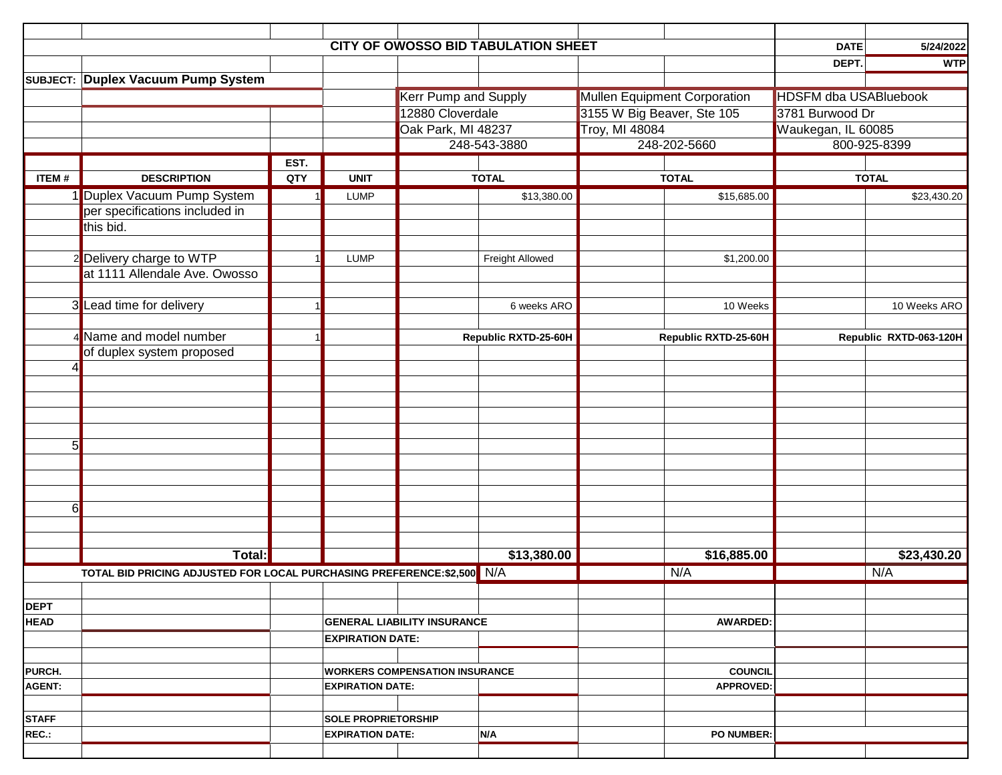|               |                                                                        |      |                                       | <b>CITY OF OWOSSO BID TABULATION SHEET</b> |                 |                                     |                   | <b>DATE</b>                  | 5/24/2022    |
|---------------|------------------------------------------------------------------------|------|---------------------------------------|--------------------------------------------|-----------------|-------------------------------------|-------------------|------------------------------|--------------|
|               |                                                                        |      |                                       |                                            |                 |                                     |                   | DEPT.                        | <b>WTP</b>   |
|               | SUBJECT: Duplex Vacuum Pump System                                     |      |                                       |                                            |                 |                                     |                   |                              |              |
|               |                                                                        |      |                                       | <b>Kerr Pump and Supply</b>                |                 | <b>Mullen Equipment Corporation</b> |                   | <b>HDSFM dba USABluebook</b> |              |
|               |                                                                        |      |                                       | 12880 Cloverdale                           |                 | 3155 W Big Beaver, Ste 105          |                   | 3781 Burwood Dr              |              |
|               |                                                                        |      |                                       | Oak Park, MI 48237                         |                 | <b>Troy, MI 48084</b>               |                   | Waukegan, IL 60085           |              |
|               |                                                                        |      |                                       | 248-543-3880                               |                 | 248-202-5660                        |                   | 800-925-8399                 |              |
|               |                                                                        | EST. |                                       |                                            |                 |                                     |                   |                              |              |
| <b>ITEM#</b>  | <b>DESCRIPTION</b>                                                     | QTY  | <b>UNIT</b>                           | <b>TOTAL</b>                               |                 | <b>TOTAL</b>                        |                   | <b>TOTAL</b>                 |              |
|               | 1 Duplex Vacuum Pump System                                            |      | <b>LUMP</b>                           |                                            | \$13,380.00     |                                     | \$15,685.00       |                              | \$23,430.20  |
|               | per specifications included in                                         |      |                                       |                                            |                 |                                     |                   |                              |              |
|               | this bid.                                                              |      |                                       |                                            |                 |                                     |                   |                              |              |
|               |                                                                        |      |                                       |                                            |                 |                                     |                   |                              |              |
|               | Delivery charge to WTP<br>at 1111 Allendale Ave. Owosso                |      | <b>LUMP</b>                           |                                            | Freight Allowed |                                     | \$1,200.00        |                              |              |
|               |                                                                        |      |                                       |                                            |                 |                                     |                   |                              |              |
|               | 3 Lead time for delivery                                               |      |                                       |                                            | 6 weeks ARO     |                                     | 10 Weeks          |                              | 10 Weeks ARO |
|               |                                                                        |      |                                       |                                            |                 |                                     |                   |                              |              |
|               | 4 Name and model number                                                |      |                                       | Republic RXTD-25-60H                       |                 | Republic RXTD-25-60H                |                   | Republic RXTD-063-120H       |              |
|               | of duplex system proposed                                              |      |                                       |                                            |                 |                                     |                   |                              |              |
|               |                                                                        |      |                                       |                                            |                 |                                     |                   |                              |              |
|               |                                                                        |      |                                       |                                            |                 |                                     |                   |                              |              |
|               |                                                                        |      |                                       |                                            |                 |                                     |                   |                              |              |
|               |                                                                        |      |                                       |                                            |                 |                                     |                   |                              |              |
|               |                                                                        |      |                                       |                                            |                 |                                     |                   |                              |              |
| 5             |                                                                        |      |                                       |                                            |                 |                                     |                   |                              |              |
|               |                                                                        |      |                                       |                                            |                 |                                     |                   |                              |              |
|               |                                                                        |      |                                       |                                            |                 |                                     |                   |                              |              |
|               |                                                                        |      |                                       |                                            |                 |                                     |                   |                              |              |
| $6 \mid$      |                                                                        |      |                                       |                                            |                 |                                     |                   |                              |              |
|               |                                                                        |      |                                       |                                            |                 |                                     |                   |                              |              |
|               |                                                                        |      |                                       |                                            |                 |                                     |                   |                              |              |
|               | Total:                                                                 |      |                                       | \$13,380.00                                |                 | \$16,885.00                         |                   | \$23,430.20                  |              |
|               | TOTAL BID PRICING ADJUSTED FOR LOCAL PURCHASING PREFERENCE:\$2,500 N/A |      |                                       |                                            |                 |                                     | N/A               |                              | N/A          |
|               |                                                                        |      |                                       |                                            |                 |                                     |                   |                              |              |
| <b>DEPT</b>   |                                                                        |      |                                       |                                            |                 |                                     |                   |                              |              |
| <b>HEAD</b>   |                                                                        |      |                                       | <b>GENERAL LIABILITY INSURANCE</b>         |                 |                                     | <b>AWARDED:</b>   |                              |              |
|               |                                                                        |      | <b>EXPIRATION DATE:</b>               |                                            |                 |                                     |                   |                              |              |
|               |                                                                        |      |                                       |                                            |                 |                                     |                   |                              |              |
| PURCH.        |                                                                        |      | <b>WORKERS COMPENSATION INSURANCE</b> |                                            |                 |                                     | <b>COUNCIL</b>    |                              |              |
| <b>AGENT:</b> |                                                                        |      | <b>EXPIRATION DATE:</b>               |                                            |                 |                                     | <b>APPROVED:</b>  |                              |              |
|               |                                                                        |      |                                       |                                            |                 |                                     |                   |                              |              |
| <b>STAFF</b>  |                                                                        |      | <b>SOLE PROPRIETORSHIP</b>            |                                            |                 |                                     |                   |                              |              |
| REC.:         |                                                                        |      | <b>EXPIRATION DATE:</b>               |                                            | N/A             |                                     | <b>PO NUMBER:</b> |                              |              |
|               |                                                                        |      |                                       |                                            |                 |                                     |                   |                              |              |